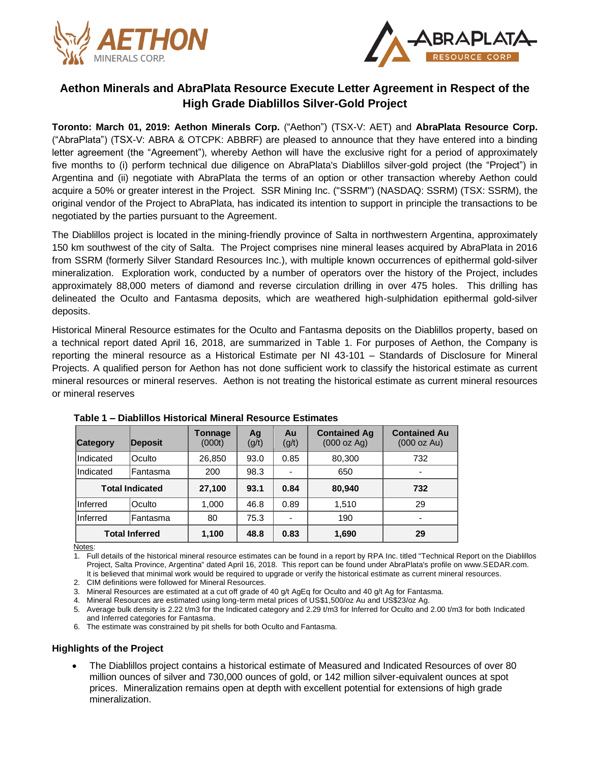



# **Aethon Minerals and AbraPlata Resource Execute Letter Agreement in Respect of the High Grade Diablillos Silver-Gold Project**

**Toronto: March 01, 2019: Aethon Minerals Corp.** ("Aethon") (TSX-V: AET) and **AbraPlata Resource Corp.** ("AbraPlata") (TSX-V: ABRA & OTCPK: ABBRF) are pleased to announce that they have entered into a binding letter agreement (the "Agreement"), whereby Aethon will have the exclusive right for a period of approximately five months to (i) perform technical due diligence on AbraPlata's Diablillos silver-gold project (the "Project") in Argentina and (ii) negotiate with AbraPlata the terms of an option or other transaction whereby Aethon could acquire a 50% or greater interest in the Project. SSR Mining Inc. ("SSRM") (NASDAQ: SSRM) (TSX: SSRM), the original vendor of the Project to AbraPlata, has indicated its intention to support in principle the transactions to be negotiated by the parties pursuant to the Agreement.

The Diablillos project is located in the mining-friendly province of Salta in northwestern Argentina, approximately 150 km southwest of the city of Salta. The Project comprises nine mineral leases acquired by AbraPlata in 2016 from SSRM (formerly Silver Standard Resources Inc.), with multiple known occurrences of epithermal gold-silver mineralization. Exploration work, conducted by a number of operators over the history of the Project, includes approximately 88,000 meters of diamond and reverse circulation drilling in over 475 holes. This drilling has delineated the Oculto and Fantasma deposits, which are weathered high-sulphidation epithermal gold-silver deposits.

Historical Mineral Resource estimates for the Oculto and Fantasma deposits on the Diablillos property, based on a technical report dated April 16, 2018, are summarized in Table 1. For purposes of Aethon, the Company is reporting the mineral resource as a Historical Estimate per NI 43-101 – Standards of Disclosure for Mineral Projects. A qualified person for Aethon has not done sufficient work to classify the historical estimate as current mineral resources or mineral reserves. Aethon is not treating the historical estimate as current mineral resources or mineral reserves

| <b>Category</b>        | Deposit   | <b>Tonnage</b><br>(000t) | Ag<br>(g/t) | Au<br>(g/t) | <b>Contained Ag</b><br>(000 oz Aq) | <b>Contained Au</b><br>(000 oz Au) |
|------------------------|-----------|--------------------------|-------------|-------------|------------------------------------|------------------------------------|
| Indicated              | Oculto    | 26,850                   | 93.0        | 0.85        | 80,300                             | 732                                |
| Indicated              | ⊦Fantasma | 200                      | 98.3        |             | 650                                |                                    |
| <b>Total Indicated</b> |           | 27,100                   | 93.1        | 0.84        | 80,940                             | 732                                |
| Inferred               | Oculto    | 1,000                    | 46.8        | 0.89        | 1,510                              | 29                                 |
| Inferred               | Fantasma  | 80                       | 75.3        |             | 190                                | $\overline{\phantom{0}}$           |
| <b>Total Inferred</b>  |           | 1,100                    | 48.8        | 0.83        | 1,690                              | 29                                 |

|  |  |  |  |  | Table 1 – Diablillos Historical Mineral Resource Estimates |
|--|--|--|--|--|------------------------------------------------------------|
|--|--|--|--|--|------------------------------------------------------------|

Notes:

1. Full details of the historical mineral resource estimates can be found in a report by RPA Inc. titled "Technical Report on the Diablillos Project, Salta Province, Argentina" dated April 16, 2018. This report can be found under AbraPlata's profile on www.SEDAR.com. It is believed that minimal work would be required to upgrade or verify the historical estimate as current mineral resources.

2. CIM definitions were followed for Mineral Resources.

3. Mineral Resources are estimated at a cut off grade of 40 g/t AgEq for Oculto and 40 g/t Ag for Fantasma.

4. Mineral Resources are estimated using long-term metal prices of US\$1,500/oz Au and US\$23/oz Ag.

5. Average bulk density is 2.22 t/m3 for the Indicated category and 2.29 t/m3 for Inferred for Oculto and 2.00 t/m3 for both Indicated and Inferred categories for Fantasma.

6. The estimate was constrained by pit shells for both Oculto and Fantasma.

### **Highlights of the Project**

• The Diablillos project contains a historical estimate of Measured and Indicated Resources of over 80 million ounces of silver and 730,000 ounces of gold, or 142 million silver-equivalent ounces at spot prices. Mineralization remains open at depth with excellent potential for extensions of high grade mineralization.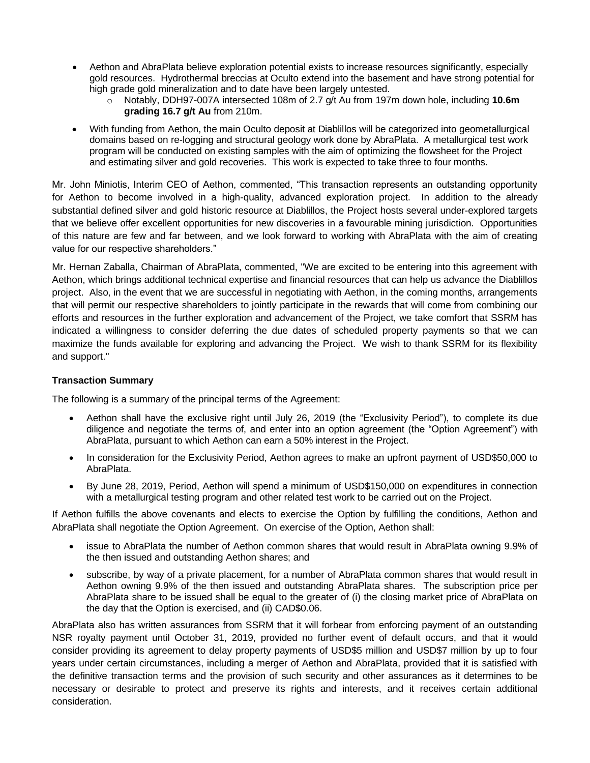- Aethon and AbraPlata believe exploration potential exists to increase resources significantly, especially gold resources. Hydrothermal breccias at Oculto extend into the basement and have strong potential for high grade gold mineralization and to date have been largely untested.
	- o Notably, DDH97-007A intersected 108m of 2.7 g/t Au from 197m down hole, including **10.6m grading 16.7 g/t Au** from 210m.
- With funding from Aethon, the main Oculto deposit at Diablillos will be categorized into geometallurgical domains based on re-logging and structural geology work done by AbraPlata. A metallurgical test work program will be conducted on existing samples with the aim of optimizing the flowsheet for the Project and estimating silver and gold recoveries. This work is expected to take three to four months.

Mr. John Miniotis, Interim CEO of Aethon, commented, "This transaction represents an outstanding opportunity for Aethon to become involved in a high-quality, advanced exploration project. In addition to the already substantial defined silver and gold historic resource at Diablillos, the Project hosts several under-explored targets that we believe offer excellent opportunities for new discoveries in a favourable mining jurisdiction. Opportunities of this nature are few and far between, and we look forward to working with AbraPlata with the aim of creating value for our respective shareholders."

Mr. Hernan Zaballa, Chairman of AbraPlata, commented, "We are excited to be entering into this agreement with Aethon, which brings additional technical expertise and financial resources that can help us advance the Diablillos project. Also, in the event that we are successful in negotiating with Aethon, in the coming months, arrangements that will permit our respective shareholders to jointly participate in the rewards that will come from combining our efforts and resources in the further exploration and advancement of the Project, we take comfort that SSRM has indicated a willingness to consider deferring the due dates of scheduled property payments so that we can maximize the funds available for exploring and advancing the Project. We wish to thank SSRM for its flexibility and support."

## **Transaction Summary**

The following is a summary of the principal terms of the Agreement:

- Aethon shall have the exclusive right until July 26, 2019 (the "Exclusivity Period"), to complete its due diligence and negotiate the terms of, and enter into an option agreement (the "Option Agreement") with AbraPlata, pursuant to which Aethon can earn a 50% interest in the Project.
- In consideration for the Exclusivity Period, Aethon agrees to make an upfront payment of USD\$50,000 to AbraPlata.
- By June 28, 2019, Period, Aethon will spend a minimum of USD\$150,000 on expenditures in connection with a metallurgical testing program and other related test work to be carried out on the Project.

If Aethon fulfills the above covenants and elects to exercise the Option by fulfilling the conditions, Aethon and AbraPlata shall negotiate the Option Agreement. On exercise of the Option, Aethon shall:

- issue to AbraPlata the number of Aethon common shares that would result in AbraPlata owning 9.9% of the then issued and outstanding Aethon shares; and
- subscribe, by way of a private placement, for a number of AbraPlata common shares that would result in Aethon owning 9.9% of the then issued and outstanding AbraPlata shares. The subscription price per AbraPlata share to be issued shall be equal to the greater of (i) the closing market price of AbraPlata on the day that the Option is exercised, and (ii) CAD\$0.06.

AbraPlata also has written assurances from SSRM that it will forbear from enforcing payment of an outstanding NSR royalty payment until October 31, 2019, provided no further event of default occurs, and that it would consider providing its agreement to delay property payments of USD\$5 million and USD\$7 million by up to four years under certain circumstances, including a merger of Aethon and AbraPlata, provided that it is satisfied with the definitive transaction terms and the provision of such security and other assurances as it determines to be necessary or desirable to protect and preserve its rights and interests, and it receives certain additional consideration.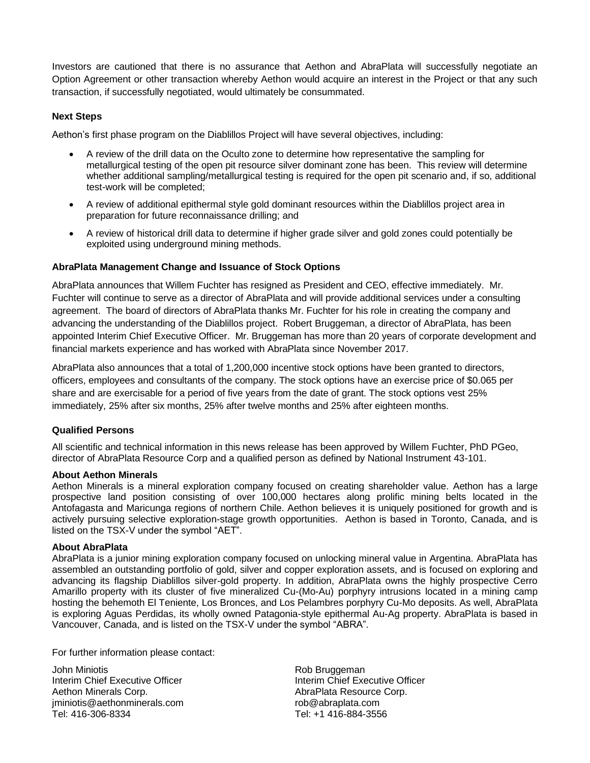Investors are cautioned that there is no assurance that Aethon and AbraPlata will successfully negotiate an Option Agreement or other transaction whereby Aethon would acquire an interest in the Project or that any such transaction, if successfully negotiated, would ultimately be consummated.

## **Next Steps**

Aethon's first phase program on the Diablillos Project will have several objectives, including:

- A review of the drill data on the Oculto zone to determine how representative the sampling for metallurgical testing of the open pit resource silver dominant zone has been. This review will determine whether additional sampling/metallurgical testing is required for the open pit scenario and, if so, additional test-work will be completed;
- A review of additional epithermal style gold dominant resources within the Diablillos project area in preparation for future reconnaissance drilling; and
- A review of historical drill data to determine if higher grade silver and gold zones could potentially be exploited using underground mining methods.

### **AbraPlata Management Change and Issuance of Stock Options**

AbraPlata announces that Willem Fuchter has resigned as President and CEO, effective immediately. Mr. Fuchter will continue to serve as a director of AbraPlata and will provide additional services under a consulting agreement. The board of directors of AbraPlata thanks Mr. Fuchter for his role in creating the company and advancing the understanding of the Diablillos project. Robert Bruggeman, a director of AbraPlata, has been appointed Interim Chief Executive Officer. Mr. Bruggeman has more than 20 years of corporate development and financial markets experience and has worked with AbraPlata since November 2017.

AbraPlata also announces that a total of 1,200,000 incentive stock options have been granted to directors, officers, employees and consultants of the company. The stock options have an exercise price of \$0.065 per share and are exercisable for a period of five years from the date of grant. The stock options vest 25% immediately, 25% after six months, 25% after twelve months and 25% after eighteen months.

### **Qualified Persons**

All scientific and technical information in this news release has been approved by Willem Fuchter, PhD PGeo, director of AbraPlata Resource Corp and a qualified person as defined by National Instrument 43-101.

### **About Aethon Minerals**

Aethon Minerals is a mineral exploration company focused on creating shareholder value. Aethon has a large prospective land position consisting of over 100,000 hectares along prolific mining belts located in the Antofagasta and Maricunga regions of northern Chile. Aethon believes it is uniquely positioned for growth and is actively pursuing selective exploration-stage growth opportunities. Aethon is based in Toronto, Canada, and is listed on the TSX-V under the symbol "AET".

### **About AbraPlata**

AbraPlata is a junior mining exploration company focused on unlocking mineral value in Argentina. AbraPlata has assembled an outstanding portfolio of gold, silver and copper exploration assets, and is focused on exploring and advancing its flagship Diablillos silver-gold property. In addition, AbraPlata owns the highly prospective Cerro Amarillo property with its cluster of five mineralized Cu-(Mo-Au) porphyry intrusions located in a mining camp hosting the behemoth El Teniente, Los Bronces, and Los Pelambres porphyry Cu-Mo deposits. As well, AbraPlata is exploring Aguas Perdidas, its wholly owned Patagonia-style epithermal Au-Ag property. AbraPlata is based in Vancouver, Canada, and is listed on the TSX-V under the symbol "ABRA".

For further information please contact:

John Miniotis Rob Bruggeman Interim Chief Executive Officer **Interim Chief Executive Officer** Interim Chief Executive Officer Aethon Minerals Corp. **Access 20 Your Abrac** AbraPlata Resource Corp. jminiotis@aethonminerals.com rob@abraplata.com Tel: 416-306-8334 Tel: +1 416-884-3556